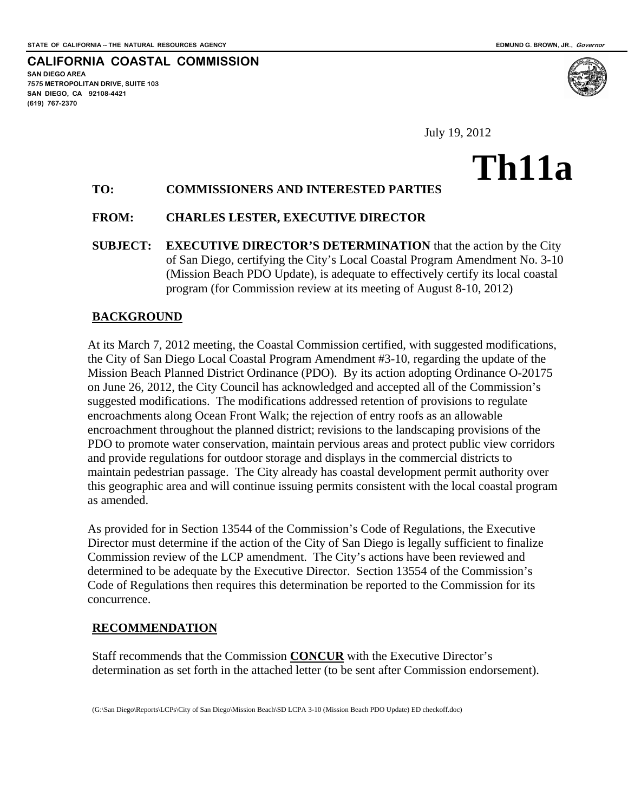**SAN DIEGO AREA** 

**(619) 767-2370** 

**7575 METROPOLITAN DRIVE, SUITE 103 SAN DIEGO, CA 92108-4421** 

**CALIFORNIA COASTAL COMMISSION** 

July 19, 2012

# **Th11a**

## **TO: COMMISSIONERS AND INTERESTED PARTIES**

### **FROM: CHARLES LESTER, EXECUTIVE DIRECTOR**

**SUBJECT: EXECUTIVE DIRECTOR'S DETERMINATION** that the action by the City of San Diego, certifying the City's Local Coastal Program Amendment No. 3-10 (Mission Beach PDO Update), is adequate to effectively certify its local coastal program (for Commission review at its meeting of August 8-10, 2012)

#### **BACKGROUND**

At its March 7, 2012 meeting, the Coastal Commission certified, with suggested modifications, the City of San Diego Local Coastal Program Amendment #3-10, regarding the update of the Mission Beach Planned District Ordinance (PDO). By its action adopting Ordinance O-20175 on June 26, 2012, the City Council has acknowledged and accepted all of the Commission's suggested modifications. The modifications addressed retention of provisions to regulate encroachments along Ocean Front Walk; the rejection of entry roofs as an allowable encroachment throughout the planned district; revisions to the landscaping provisions of the PDO to promote water conservation, maintain pervious areas and protect public view corridors and provide regulations for outdoor storage and displays in the commercial districts to maintain pedestrian passage. The City already has coastal development permit authority over this geographic area and will continue issuing permits consistent with the local coastal program as amended.

As provided for in Section 13544 of the Commission's Code of Regulations, the Executive Director must determine if the action of the City of San Diego is legally sufficient to finalize Commission review of the LCP amendment. The City's actions have been reviewed and determined to be adequate by the Executive Director. Section 13554 of the Commission's Code of Regulations then requires this determination be reported to the Commission for its concurrence.

### **RECOMMENDATION**

Staff recommends that the Commission **CONCUR** with the Executive Director's determination as set forth in the attached letter (to be sent after Commission endorsement).

(G:\San Diego\Reports\LCPs\City of San Diego\Mission Beach\SD LCPA 3-10 (Mission Beach PDO Update) ED checkoff.doc)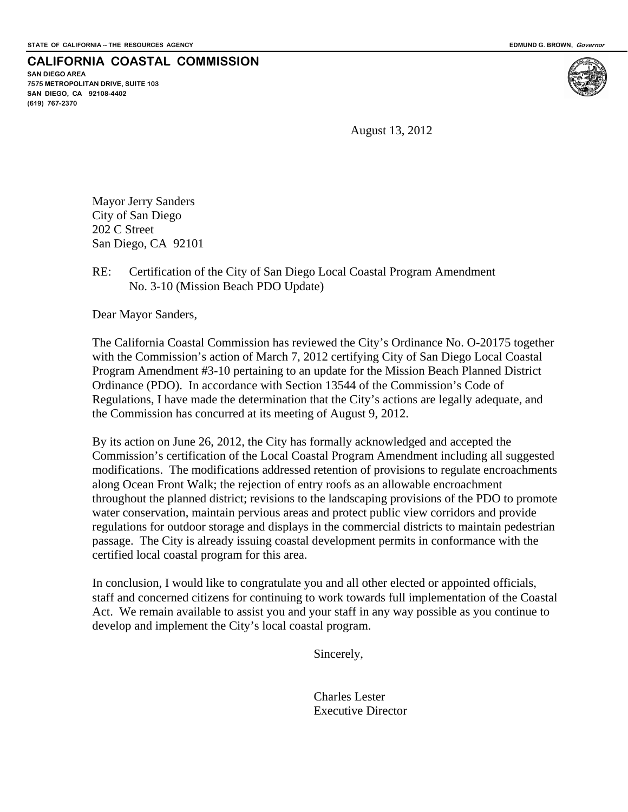## **CALIFORNIA COASTAL COMMISSION**

**SAN DIEGO AREA 7575 METROPOLITAN DRIVE, SUITE 103 SAN DIEGO, CA 92108-4402 (619) 767-2370**



August 13, 2012

Mayor Jerry Sanders City of San Diego 202 C Street San Diego, CA 92101

## RE: Certification of the City of San Diego Local Coastal Program Amendment No. 3-10 (Mission Beach PDO Update)

Dear Mayor Sanders,

The California Coastal Commission has reviewed the City's Ordinance No. O-20175 together with the Commission's action of March 7, 2012 certifying City of San Diego Local Coastal Program Amendment #3-10 pertaining to an update for the Mission Beach Planned District Ordinance (PDO). In accordance with Section 13544 of the Commission's Code of Regulations, I have made the determination that the City's actions are legally adequate, and the Commission has concurred at its meeting of August 9, 2012.

By its action on June 26, 2012, the City has formally acknowledged and accepted the Commission's certification of the Local Coastal Program Amendment including all suggested modifications. The modifications addressed retention of provisions to regulate encroachments along Ocean Front Walk; the rejection of entry roofs as an allowable encroachment throughout the planned district; revisions to the landscaping provisions of the PDO to promote water conservation, maintain pervious areas and protect public view corridors and provide regulations for outdoor storage and displays in the commercial districts to maintain pedestrian passage. The City is already issuing coastal development permits in conformance with the certified local coastal program for this area.

In conclusion, I would like to congratulate you and all other elected or appointed officials, staff and concerned citizens for continuing to work towards full implementation of the Coastal Act. We remain available to assist you and your staff in any way possible as you continue to develop and implement the City's local coastal program.

Sincerely,

 Charles Lester Executive Director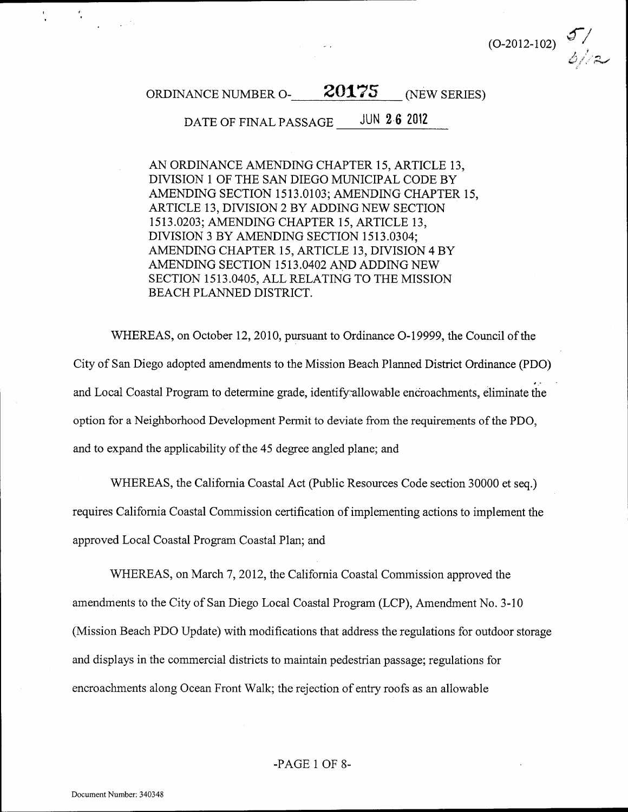

#### 20175 ORDINANCE NUMBER O-(NEW SERIES)

DATE OF FINAL PASSAGE JUN 2.6 2012

AN ORDINANCE AMENDING CHAPTER 15, ARTICLE 13, DIVISION 1 OF THE SAN DIEGO MUNICIPAL CODE BY AMENDING SECTION 1513.0103; AMENDING CHAPTER 15, ARTICLE 13, DIVISION 2 BY ADDING NEW SECTION 1513.0203; AMENDING CHAPTER 15, ARTICLE 13, DIVISION 3 BY AMENDING SECTION 1513.0304; AMENDING CHAPTER 15, ARTICLE 13, DIVISION 4 BY AMENDING SECTION 1513.0402 AND ADDING NEW SECTION 1513.0405, ALL RELATING TO THE MISSION BEACH PLANNED DISTRICT.

WHEREAS, on October 12, 2010, pursuant to Ordinance O-19999, the Council of the City of San Diego adopted amendments to the Mission Beach Planned District Ordinance (PDO) and Local Coastal Program to determine grade, identify allowable encroachments, eliminate the option for a Neighborhood Development Permit to deviate from the requirements of the PDO, and to expand the applicability of the 45 degree angled plane; and

WHEREAS, the California Coastal Act (Public Resources Code section 30000 et seq.) requires California Coastal Commission certification of implementing actions to implement the approved Local Coastal Program Coastal Plan; and

WHEREAS, on March 7, 2012, the California Coastal Commission approved the amendments to the City of San Diego Local Coastal Program (LCP), Amendment No. 3-10 (Mission Beach PDO Update) with modifications that address the regulations for outdoor storage and displays in the commercial districts to maintain pedestrian passage; regulations for encroachments along Ocean Front Walk; the rejection of entry roofs as an allowable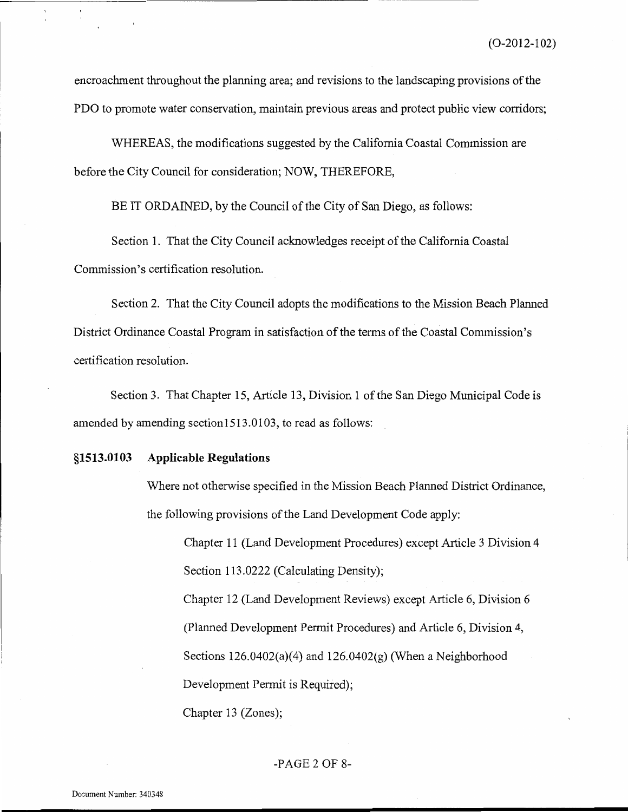encroachment throughout the planning area; and revisions to the landscaping provisions of the PDO to promote water conservation, maintain previous areas and protect public view corridors;

WHEREAS, the modifications suggested by the California Coastal Commission are before the City Council for consideration; NOW, THEREFORE,

BE IT ORDAINED, by the Council of the City of San Diego, as follows:

Section 1. That the City Council acknowledges receipt of the California Coastal Commission's certification resolution.

Section 2. That the City Council adopts the modifications to the Mission Beach Planned District Ordinance Coastal Program in satisfaction of the terms of the Coastal Commission's certification resolution.

Section 3. That Chapter 15, Article 13, Division 1 of the San Diego Municipal Code is amended by amending section1513.0103, to read as follows:

#### \$1513.0103 **Applicable Regulations**

Where not otherwise specified in the Mission Beach Planned District Ordinance, the following provisions of the Land Development Code apply:

Chapter 11 (Land Development Procedures) except Article 3 Division 4 Section 113.0222 (Calculating Density);

Chapter 12 (Land Development Reviews) except Article 6, Division 6 (Planned Development Permit Procedures) and Article 6, Division 4, Sections  $126.0402(a)(4)$  and  $126.0402(g)$  (When a Neighborhood Development Permit is Required);

Chapter 13 (Zones);

#### $-PAGE 2 OF 8-$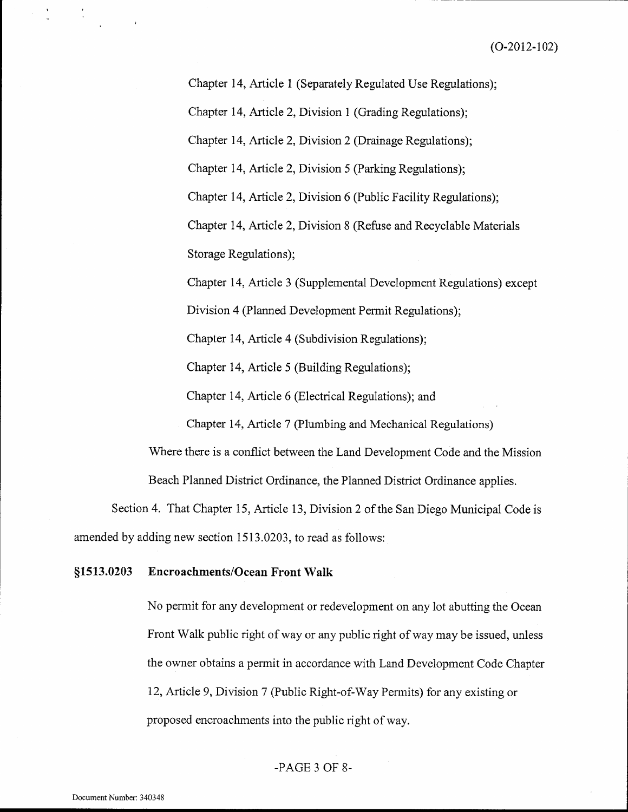Chapter 14, Article 1 (Separately Regulated Use Regulations);

Chapter 14, Article 2, Division 1 (Grading Regulations);

Chapter 14, Article 2, Division 2 (Drainage Regulations);

Chapter 14, Article 2, Division 5 (Parking Regulations);

Chapter 14, Article 2, Division 6 (Public Facility Regulations);

Chapter 14, Article 2, Division 8 (Refuse and Recyclable Materials Storage Regulations);

Chapter 14, Article 3 (Supplemental Development Regulations) except

Division 4 (Planned Development Permit Regulations);

Chapter 14, Article 4 (Subdivision Regulations);

Chapter 14, Article 5 (Building Regulations);

Chapter 14, Article 6 (Electrical Regulations); and

Chapter 14, Article 7 (Plumbing and Mechanical Regulations)

Where there is a conflict between the Land Development Code and the Mission Beach Planned District Ordinance, the Planned District Ordinance applies.

Section 4. That Chapter 15, Article 13, Division 2 of the San Diego Municipal Code is amended by adding new section 1513.0203, to read as follows:

#### §1513.0203 **Encroachments/Ocean Front Walk**

No permit for any development or redevelopment on any lot abutting the Ocean Front Walk public right of way or any public right of way may be issued, unless the owner obtains a permit in accordance with Land Development Code Chapter 12, Article 9, Division 7 (Public Right-of-Way Permits) for any existing or proposed encroachments into the public right of way.

## -PAGE 3 OF 8-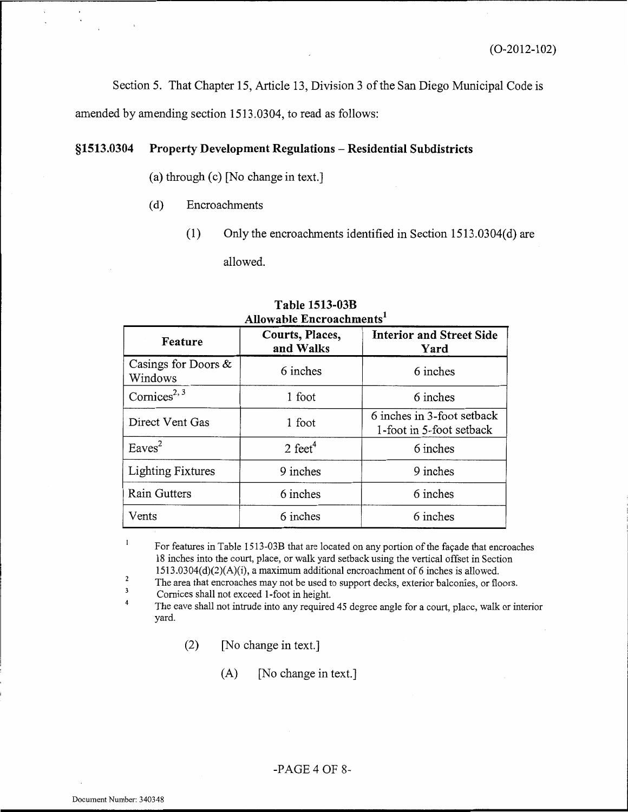Section 5. That Chapter 15, Article 13, Division 3 of the San Diego Municipal Code is amended by amending section 1513.0304, to read as follows:

#### \$1513.0304 Property Development Regulations - Residential Subdistricts

## (a) through (c) [No change in text.]

- $(d)$ Encroachments
	- $(1)$ Only the encroachments identified in Section 1513.0304(d) are allowed.

| Anowabie Encroachments         |                              |                                                        |
|--------------------------------|------------------------------|--------------------------------------------------------|
| Feature                        | Courts, Places,<br>and Walks | <b>Interior and Street Side</b><br>Yard                |
| Casings for Doors &<br>Windows | 6 inches                     | 6 inches                                               |
| Cornices <sup>2, 3</sup>       | 1 foot                       | 6 inches                                               |
| Direct Vent Gas                | 1 foot                       | 6 inches in 3-foot setback<br>1-foot in 5-foot setback |
| Eaves <sup>2</sup>             | 2 feet $4$                   | 6 inches                                               |
| Lighting Fixtures              | 9 inches                     | 9 inches                                               |
| Rain Gutters                   | 6 inches                     | 6 inches                                               |
| Vents                          | 6 inches                     | 6 inches                                               |

#### Table 1513-03B Allowable Encroachments<sup>1</sup>

For features in Table 1513-03B that are located on any portion of the façade that encroaches 18 inches into the court, place, or walk yard setback using the vertical offset in Section 1513.0304(d)(2)(A)(i), a maximum additional encroachment of 6 inches is allowed.

 $\sqrt{2}$ The area that encroaches may not be used to support decks, exterior balconies, or floors.

 $\overline{\mathbf{3}}$ Cornices shall not exceed 1-foot in height.  $\overline{4}$ 

The eave shall not intrude into any required 45 degree angle for a court, place, walk or interior yard.

> [No change in text.]  $(2)$

> > (A) [No change in text.]

 $\mathbf{1}$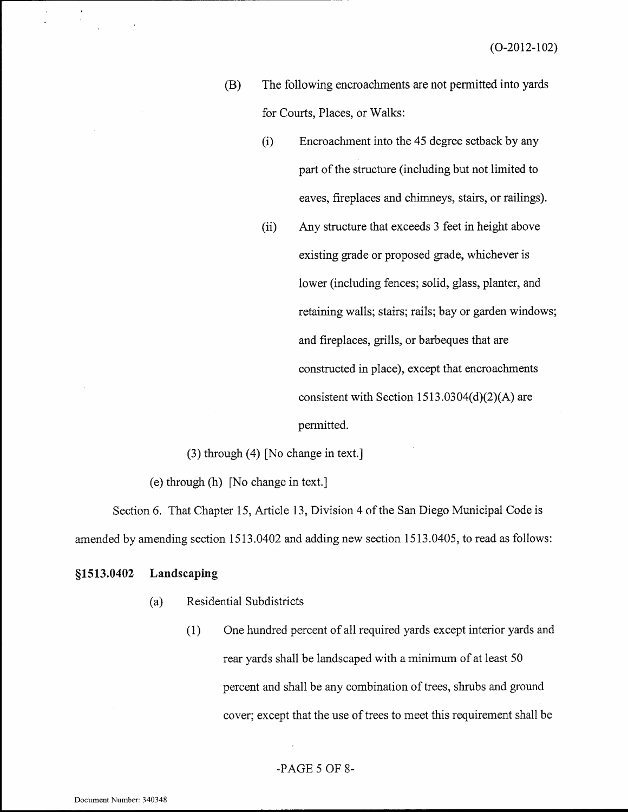- The following encroachments are not permitted into yards (B) for Courts, Places, or Walks:
	- Encroachment into the 45 degree setback by any  $(i)$ part of the structure (including but not limited to eaves, fireplaces and chimneys, stairs, or railings).
	- $(ii)$ Any structure that exceeds 3 feet in height above existing grade or proposed grade, whichever is lower (including fences; solid, glass, planter, and retaining walls; stairs; rails; bay or garden windows; and fireplaces, grills, or barbeques that are constructed in place), except that encroachments consistent with Section  $1513.0304(d)(2)(A)$  are permitted.

 $(3)$  through  $(4)$  [No change in text.]

(e) through (h) [No change in text.]

Section 6. That Chapter 15, Article 13, Division 4 of the San Diego Municipal Code is amended by amending section 1513.0402 and adding new section 1513.0405, to read as follows:

#### §1513.0402 Landscaping

- Residential Subdistricts  $(a)$ 
	- One hundred percent of all required yards except interior yards and  $(1)$ rear yards shall be landscaped with a minimum of at least 50 percent and shall be any combination of trees, shrubs and ground cover; except that the use of trees to meet this requirement shall be

## $-PAGE 5 OF 8-$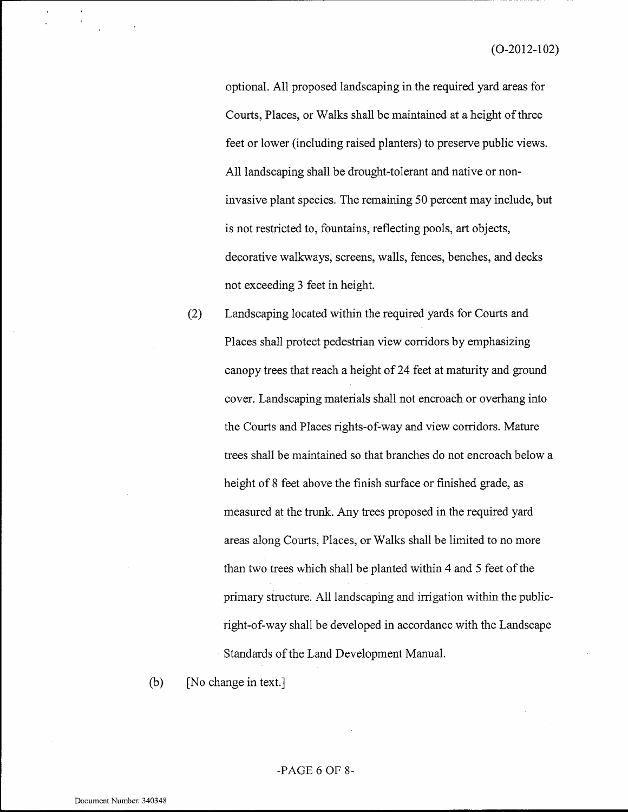optional. All proposed landscaping in the required yard areas for Courts, Places, or Walks shall be maintained at a height of three feet or lower (including raised planters) to preserve public views. All landscaping shall be drought-tolerant and native or noninvasive plant species. The remaining 50 percent may include, but is not restricted to, fountains, reflecting pools, art objects, decorative walkways, screens, walls, fences, benches, and decks not exceeding 3 feet in height.

 $(2)$ Landscaping located within the required yards for Courts and Places shall protect pedestrian view corridors by emphasizing canopy trees that reach a height of 24 feet at maturity and ground cover. Landscaping materials shall not encroach or overhang into the Courts and Places rights-of-way and view corridors. Mature trees shall be maintained so that branches do not encroach below a height of 8 feet above the finish surface or finished grade, as measured at the trunk. Any trees proposed in the required yard areas along Courts, Places, or Walks shall be limited to no more than two trees which shall be planted within 4 and 5 feet of the primary structure. All landscaping and irrigation within the publicright-of-way shall be developed in accordance with the Landscape Standards of the Land Development Manual.

 $(b)$ [No change in text.]

#### -PAGE  $6$  OF  $8$ -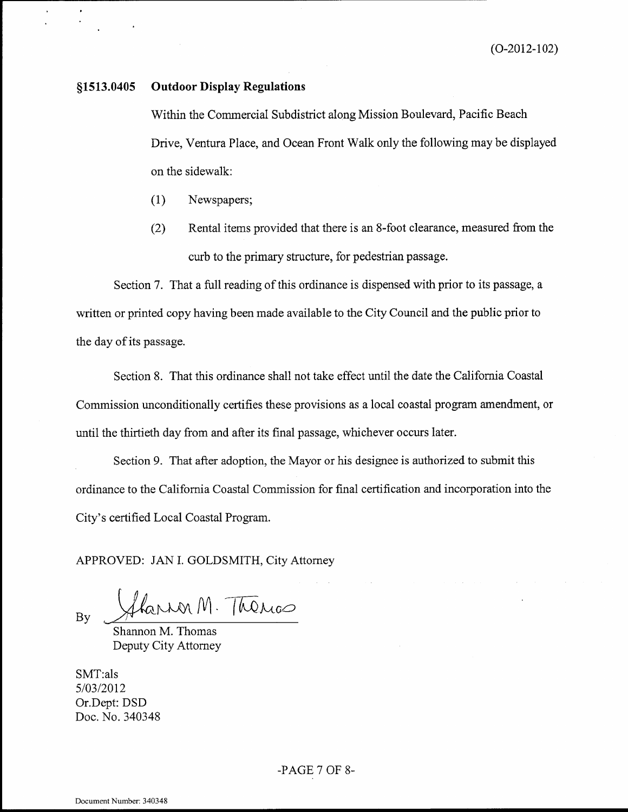#### **Outdoor Display Regulations** §1513.0405

Within the Commercial Subdistrict along Mission Boulevard, Pacific Beach Drive, Ventura Place, and Ocean Front Walk only the following may be displayed on the sidewalk:

- $(1)$ Newspapers;
- Rental items provided that there is an 8-foot clearance, measured from the  $(2)$ curb to the primary structure, for pedestrian passage.

Section 7. That a full reading of this ordinance is dispensed with prior to its passage, a written or printed copy having been made available to the City Council and the public prior to the day of its passage.

Section 8. That this ordinance shall not take effect until the date the California Coastal Commission unconditionally certifies these provisions as a local coastal program amendment, or until the thirtieth day from and after its final passage, whichever occurs later.

Section 9. That after adoption, the Mayor or his designee is authorized to submit this ordinance to the California Coastal Commission for final certification and incorporation into the City's certified Local Coastal Program.

APPROVED: JAN I. GOLDSMITH, City Attorney

Sharror M. Thérics **B**<sub>v</sub>

Shannon M. Thomas Deputy City Attorney

SMT:als 5/03/2012 Or.Dept: DSD Doc. No. 340348